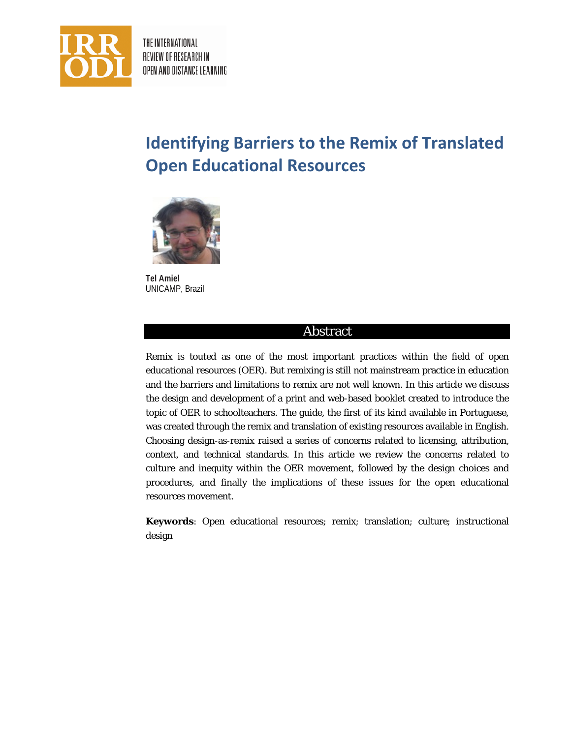

THE INTERNATIONAL REVIEW OF RESEARCH IN OPEN AND DISTANCE LEARNING

# **Identifying Barriers to the Remix of Translated Open Educational Resources**



**Tel Amiel** UNICAMP, Brazil

### Abstract

Remix is touted as one of the most important practices within the field of open educational resources (OER). But remixing is still not mainstream practice in education and the barriers and limitations to remix are not well known. In this article we discuss the design and development of a print and web-based booklet created to introduce the topic of OER to schoolteachers. The guide, the first of its kind available in Portuguese, was created through the remix and translation of existing resources available in English. Choosing design-as-remix raised a series of concerns related to licensing, attribution, context, and technical standards. In this article we review the concerns related to culture and inequity within the OER movement, followed by the design choices and procedures, and finally the implications of these issues for the open educational resources movement.

**Keywords**: Open educational resources; remix; translation; culture; instructional design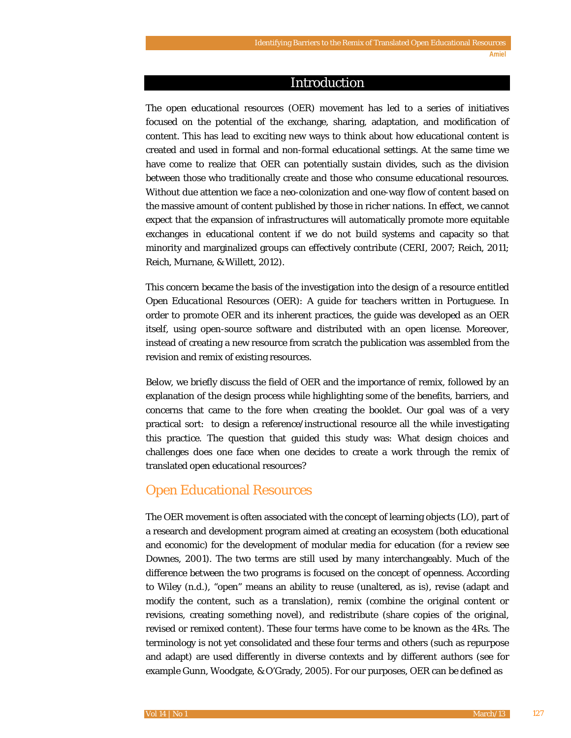#### Introduction

The open educational resources (OER) movement has led to a series of initiatives focused on the potential of the exchange, sharing, adaptation, and modification of content. This has lead to exciting new ways to think about how educational content is created and used in formal and non-formal educational settings. At the same time we have come to realize that OER can potentially sustain divides, such as the division between those who traditionally create and those who consume educational resources. Without due attention we face a neo-colonization and one-way flow of content based on the massive amount of content published by those in richer nations. In effect, we cannot expect that the expansion of infrastructures will automatically promote more equitable exchanges in educational content if we do not build systems and capacity so that minority and marginalized groups can effectively contribute (CERI, 2007; Reich, 2011; Reich, Murnane, & Willett, 2012).

This concern became the basis of the investigation into the design of a resource entitled *Open Educational Resources (OER): A guide for teachers* written in Portuguese. In order to promote OER and its inherent practices, the guide was developed as an OER itself, using open-source software and distributed with an open license. Moreover, instead of creating a new resource from scratch the publication was assembled from the revision and remix of existing resources.

Below, we briefly discuss the field of OER and the importance of remix, followed by an explanation of the design process while highlighting some of the benefits, barriers, and concerns that came to the fore when creating the booklet. Our goal was of a very practical sort: to design a reference/instructional resource all the while investigating this practice. The question that guided this study was: What design choices and challenges does one face when one decides to create a work through the remix of translated open educational resources?

## Open Educational Resources

The OER movement is often associated with the concept of learning objects (LO), part of a research and development program aimed at creating an ecosystem (both educational and economic) for the development of modular media for education (for a review see Downes, 2001). The two terms are still used by many interchangeably. Much of the difference between the two programs is focused on the concept of openness. According to Wiley (n.d.), "open" means an ability to reuse (unaltered, as is), revise (adapt and modify the content, such as a translation), remix (combine the original content or revisions, creating something novel), and redistribute (share copies of the original, revised or remixed content). These four terms have come to be known as the *4Rs*. The terminology is not yet consolidated and these four terms and others (such as repurpose and adapt) are used differently in diverse contexts and by different authors (see for example Gunn, Woodgate, & O'Grady, 2005). For our purposes, OER can be defined as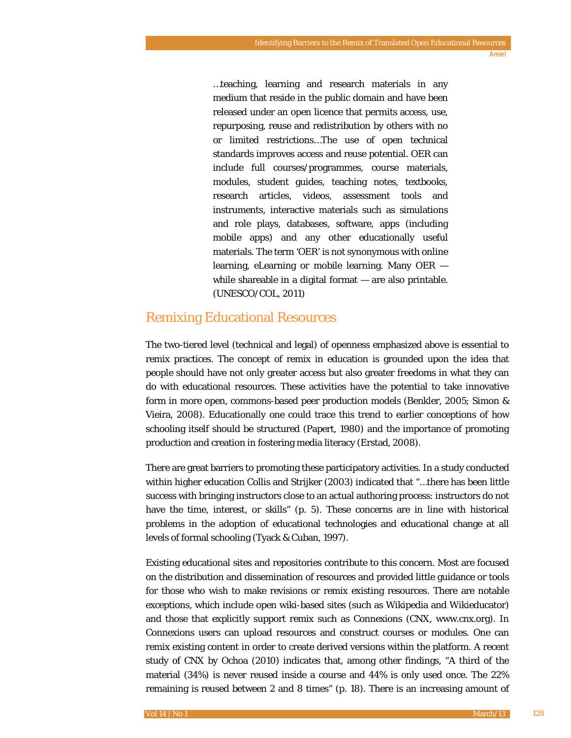…teaching, learning and research materials in any medium that reside in the public domain and have been released under an open licence that permits access, use, repurposing, reuse and redistribution by others with no or limited restrictions…The use of open technical standards improves access and reuse potential. OER can include full courses/programmes, course materials, modules, student guides, teaching notes, textbooks, research articles, videos, assessment tools and instruments, interactive materials such as simulations and role plays, databases, software, apps (including mobile apps) and any other educationally useful materials. The term 'OER' is not synonymous with online learning, eLearning or mobile learning. Many OER while shareable in a digital format — are also printable. (UNESCO/COL, 2011)

# Remixing Educational Resources

The two-tiered level (technical and legal) of openness emphasized above is essential to remix practices. The concept of remix in education is grounded upon the idea that people should have not only greater access but also greater freedoms in what they can do with educational resources. These activities have the potential to take innovative form in more open, commons-based peer production models (Benkler, 2005; Simon & Vieira, 2008). Educationally one could trace this trend to earlier conceptions of how schooling itself should be structured (Papert, 1980) and the importance of promoting production and creation in fostering media literacy (Erstad, 2008).

There are great barriers to promoting these participatory activities. In a study conducted within higher education Collis and Strijker (2003) indicated that "…there has been little success with bringing instructors close to an actual authoring process: instructors do not have the time, interest, or skills" (p. 5). These concerns are in line with historical problems in the adoption of educational technologies and educational change at all levels of formal schooling (Tyack & Cuban, 1997).

Existing educational sites and repositories contribute to this concern. Most are focused on the distribution and dissemination of resources and provided little guidance or tools for those who wish to make revisions or remix existing resources. There are notable exceptions, which include open wiki-based sites (such as Wikipedia and Wikieducator) and those that explicitly support remix such as Connexions (CNX, www.cnx.org). In Connexions users can upload resources and construct courses or modules. One can remix existing content in order to create derived versions within the platform. A recent study of CNX by Ochoa (2010) indicates that, among other findings, "A third of the material (34%) is never reused inside a course and 44% is only used once. The 22% remaining is reused between 2 and 8 times" (p. 18). There is an increasing amount of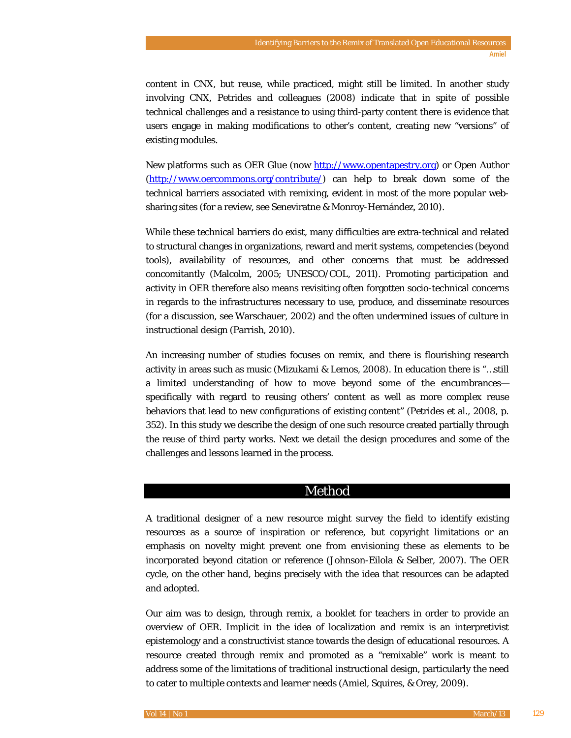content in CNX, but reuse, while practiced, might still be limited. In another study involving CNX, Petrides and colleagues (2008) indicate that in spite of possible technical challenges and a resistance to using third-party content there is evidence that users engage in making modifications to other's content, creating new "versions" of existing modules.

New platforms such as OER Glue (now [http://www.opentapestry.org\)](http://www.opentapestry.org/) or Open Author [\(http://www.oercommons.org/contribute/\)](http://www.oercommons.org/contribute/) can help to break down some of the technical barriers associated with remixing, evident in most of the more popular websharing sites (for a review, see Seneviratne & Monroy-Hernández, 2010).

While these technical barriers do exist, many difficulties are extra-technical and related to structural changes in organizations, reward and merit systems, competencies (beyond tools), availability of resources, and other concerns that must be addressed concomitantly (Malcolm, 2005; UNESCO/COL, 2011). Promoting participation and activity in OER therefore also means revisiting often forgotten socio-technical concerns in regards to the infrastructures necessary to use, produce, and disseminate resources (for a discussion, see Warschauer, 2002) and the often undermined issues of culture in instructional design (Parrish, 2010).

An increasing number of studies focuses on remix, and there is flourishing research activity in areas such as music (Mizukami & Lemos, 2008). In education there is "…still a limited understanding of how to move beyond some of the encumbrances specifically with regard to reusing others' content as well as more complex reuse behaviors that lead to new configurations of existing content" (Petrides et al., 2008, p. 352). In this study we describe the design of one such resource created partially through the reuse of third party works. Next we detail the design procedures and some of the challenges and lessons learned in the process.

#### Method

A traditional designer of a new resource might survey the field to identify existing resources as a source of inspiration or reference, but copyright limitations or an emphasis on novelty might prevent one from envisioning these as elements to be incorporated beyond citation or reference (Johnson-Eilola & Selber, 2007). The OER cycle, on the other hand, begins precisely with the idea that resources can be adapted and adopted.

Our aim was to design, through remix, a booklet for teachers in order to provide an overview of OER. Implicit in the idea of localization and remix is an interpretivist epistemology and a constructivist stance towards the design of educational resources. A resource created through remix and promoted as a "remixable" work is meant to address some of the limitations of traditional instructional design, particularly the need to cater to multiple contexts and learner needs (Amiel, Squires, & Orey, 2009).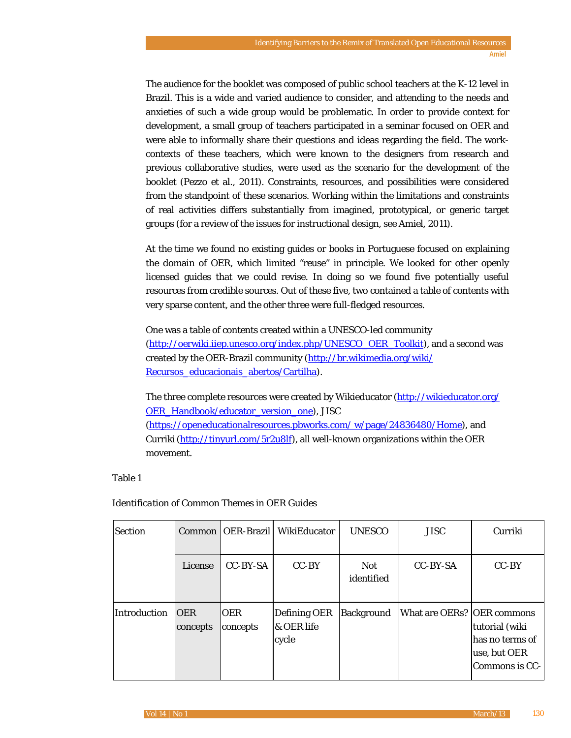The audience for the booklet was composed of public school teachers at the K-12 level in Brazil. This is a wide and varied audience to consider, and attending to the needs and anxieties of such a wide group would be problematic. In order to provide context for development, a small group of teachers participated in a seminar focused on OER and were able to informally share their questions and ideas regarding the field. The workcontexts of these teachers, which were known to the designers from research and previous collaborative studies, were used as the scenario for the development of the booklet (Pezzo et al., 2011). Constraints, resources, and possibilities were considered from the standpoint of these scenarios. Working within the limitations and constraints of real activities differs substantially from imagined, prototypical, or generic target groups (for a review of the issues for instructional design, see Amiel, 2011).

At the time we found no existing guides or books in Portuguese focused on explaining the domain of OER, which limited "reuse" in principle. We looked for other openly licensed guides that we could revise. In doing so we found five potentially useful resources from credible sources. Out of these five, two contained a table of contents with very sparse content, and the other three were full-fledged resources.

One was a table of contents created within a UNESCO-led community [\(http://oerwiki.iiep.unesco.org/index.php/UNESCO\\_OER\\_Toolkit\)](http://oerwiki.iiep.unesco.org/index.php/UNESCO_OER_Toolkit), and a second was created by the OER-Brazil community [\(http://br.wikimedia.org/wiki/](http://br.wikimedia.org/wiki/%20Recursos_educacionais_abertos/Cartilha)  [Recursos\\_educacionais\\_abertos/Cartilha\)](http://br.wikimedia.org/wiki/%20Recursos_educacionais_abertos/Cartilha).

The three complete resources were created by Wikieducator [\(http://wikieducator.org/](http://wikieducator.org/%20OER_Handbook/educator_version_one)  [OER\\_Handbook/educator\\_version\\_one\)](http://wikieducator.org/%20OER_Handbook/educator_version_one), JISC [\(https://openeducationalresources.pbworks.com/ w/page/24836480/Home\)](https://openeducationalresources.pbworks.com/%20w/page/24836480/Home), and Curriki  $(\frac{http://tinyurl.com/5r2u8lf)}{http://tinyurl.com/5r2u8lf)}$ , all well-known organizations within the OER movement.

#### Table 1

| <b>Section</b> | Common                 | OER-Brazil             | WikiEducator                        | <b>UNESCO</b>            | <b>JISC</b>                | Curriki                                                              |
|----------------|------------------------|------------------------|-------------------------------------|--------------------------|----------------------------|----------------------------------------------------------------------|
|                | License                | CC-BY-SA               | $CC-BY$                             | <b>Not</b><br>identified | CC-BY-SA                   | $CC-BY$                                                              |
| Introduction   | <b>OER</b><br>concepts | <b>OER</b><br>concepts | Defining OER<br>& OER life<br>cycle | Background               | What are OERs? OER commons | tutorial (wiki<br>lhas no terms of<br>use, but OER<br>Commons is CC- |

#### *Identification of Common Themes in OER Guides*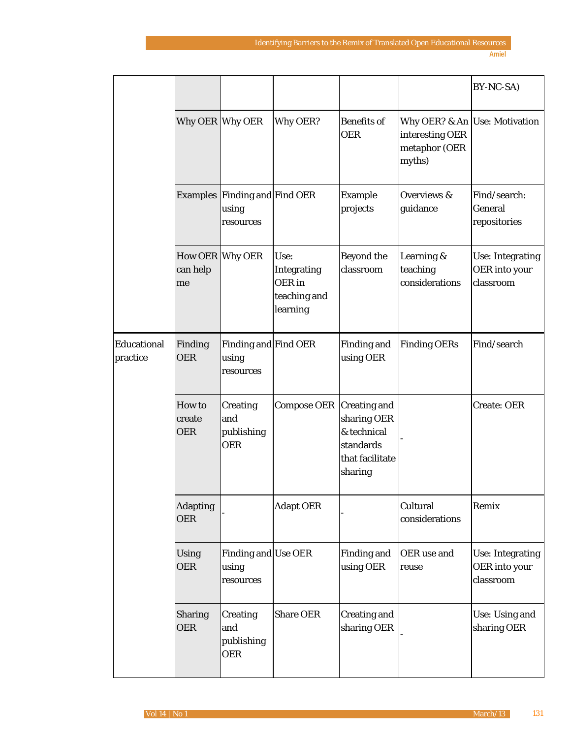|                         |                                  |                                                     |                                                           |                                                                                              |                                                                              | BY-NC-SA)                                                    |
|-------------------------|----------------------------------|-----------------------------------------------------|-----------------------------------------------------------|----------------------------------------------------------------------------------------------|------------------------------------------------------------------------------|--------------------------------------------------------------|
|                         |                                  | Why OER Why OER                                     | Why OER?                                                  | <b>Benefits of</b><br><b>OER</b>                                                             | Why OER? & An  Use: Motivation<br>interesting OER<br>metaphor (OER<br>myths) |                                                              |
|                         |                                  | Examples Finding and Find OER<br>using<br>resources |                                                           | <b>Example</b><br>projects                                                                   | Overviews &<br>guidance                                                      | Find/search:<br>General<br>repositories                      |
|                         | <b>How OER</b><br>can help<br>me | Why OER                                             | Use:<br>Integrating<br>OER in<br>teaching and<br>learning | <b>Beyond the</b><br>classroom                                                               | Learning &<br>teaching<br>considerations                                     | <b>Use: Integrating</b><br><b>OER</b> into your<br>classroom |
| Educational<br>practice | Finding<br><b>OER</b>            | Finding and Find OER<br>using<br>resources          |                                                           | <b>Finding and</b><br>using OER                                                              | <b>Finding OERs</b>                                                          | Find/search                                                  |
|                         | How to<br>create<br><b>OER</b>   | Creating<br>and<br>publishing<br><b>OER</b>         | <b>Compose OER</b>                                        | <b>Creating and</b><br>sharing OER<br>& technical<br>standards<br>that facilitate<br>sharing |                                                                              | <b>Create: OER</b>                                           |
|                         | <b>Adapting</b><br><b>OER</b>    |                                                     | <b>Adapt OER</b>                                          |                                                                                              | Cultural<br>considerations                                                   | Remix                                                        |
|                         | <b>Using</b><br><b>OER</b>       | Finding and Use OER<br>using<br>resources           |                                                           | <b>Finding and</b><br>using OER                                                              | OER use and<br>reuse                                                         | <b>Use: Integrating</b><br><b>OER</b> into your<br>classroom |
|                         | <b>Sharing</b><br><b>OER</b>     | Creating<br>and<br>publishing<br><b>OER</b>         | <b>Share OER</b>                                          | <b>Creating and</b><br>sharing OER                                                           |                                                                              | Use: Using and<br>sharing OER                                |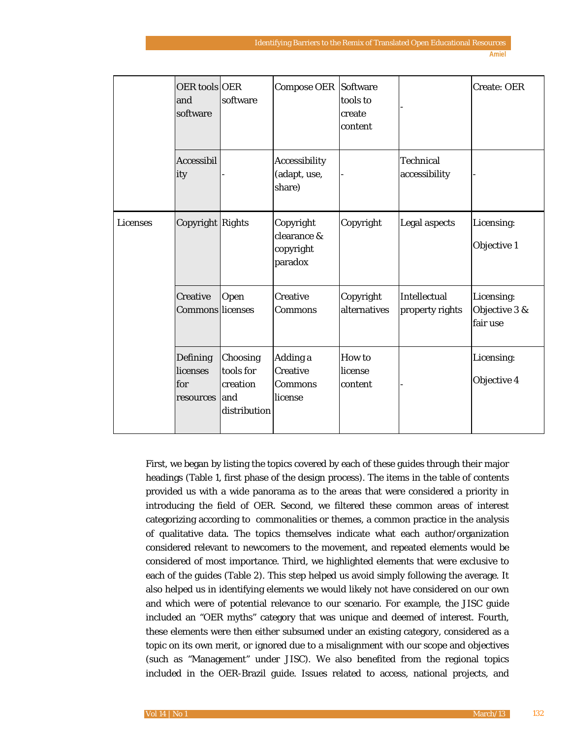|                 | OER tools OER<br>and<br>software         | software                                                  | Compose OER Software                              | tools to<br>create<br>content |                                   | <b>Create: OER</b>                      |
|-----------------|------------------------------------------|-----------------------------------------------------------|---------------------------------------------------|-------------------------------|-----------------------------------|-----------------------------------------|
|                 | <b>Accessibil</b><br>ity                 |                                                           | Accessibility<br>(adapt, use,<br>share)           |                               | <b>Technical</b><br>accessibility |                                         |
| <b>Licenses</b> | Copyright Rights                         |                                                           | Copyright<br>clearance &<br>copyright<br>paradox  | Copyright                     | <b>Legal aspects</b>              | Licensing:<br>Objective 1               |
|                 | Creative<br><b>Commons</b> licenses      | Open                                                      | <b>Creative</b><br>Commons                        | Copyright<br>alternatives     | Intellectual<br>property rights   | Licensing:<br>Objective 3 &<br>fair use |
|                 | Defining<br>licenses<br>for<br>resources | Choosing<br>tools for<br>creation<br>land<br>distribution | Adding a<br><b>Creative</b><br>Commons<br>license | How to<br>license<br>content  |                                   | Licensing:<br>Objective 4               |

First, we began by listing the topics covered by each of these guides through their major headings (Table 1, first phase of the design process). The items in the table of contents provided us with a wide panorama as to the areas that were considered a priority in introducing the field of OER. Second, we filtered these common areas of interest categorizing according to commonalities or themes, a common practice in the analysis of qualitative data. The topics themselves indicate what each author/organization considered relevant to newcomers to the movement, and repeated elements would be considered of most importance. Third, we highlighted elements that were exclusive to each of the guides (Table 2). This step helped us avoid simply following the average. It also helped us in identifying elements we would likely not have considered on our own and which were of potential relevance to our scenario. For example, the JISC guide included an "OER myths" category that was unique and deemed of interest. Fourth, these elements were then either subsumed under an existing category, considered as a topic on its own merit, or ignored due to a misalignment with our scope and objectives (such as "Management" under JISC). We also benefited from the regional topics included in the OER-Brazil guide. Issues related to access, national projects, and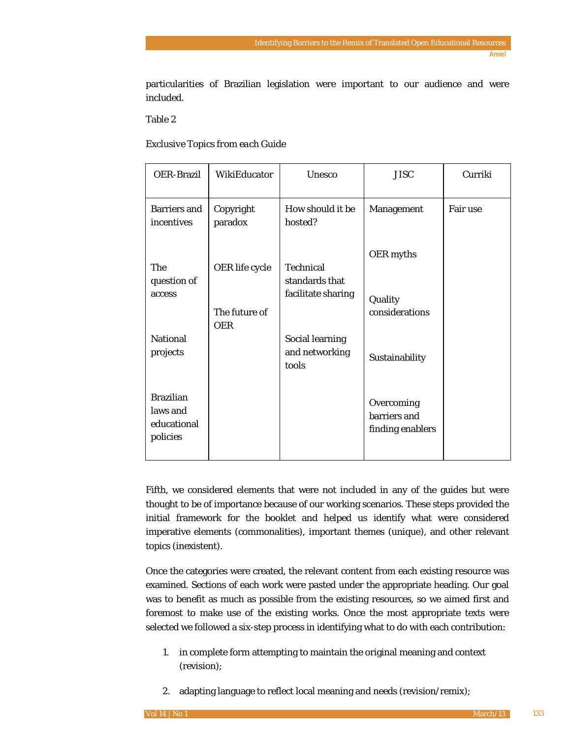particularities of Brazilian legislation were important to our audience and were included.

Table 2

*Exclusive Topics from each Guide*

| <b>OER-Brazil</b>                                       | WikiEducator                    | <b>Unesco</b>                                            | <b>JISC</b>                                    | Curriki  |
|---------------------------------------------------------|---------------------------------|----------------------------------------------------------|------------------------------------------------|----------|
| <b>Barriers and</b><br>incentives                       | Copyright<br>paradox            | How should it be<br>hosted?                              | Management                                     | Fair use |
| The<br>question of<br>access                            | OER life cycle<br>The future of | <b>Technical</b><br>standards that<br>facilitate sharing | OER myths<br>Quality<br>considerations         |          |
| <b>National</b><br>projects                             | <b>OER</b>                      | <b>Social learning</b><br>and networking<br>tools        | Sustainability                                 |          |
| <b>Brazilian</b><br>laws and<br>educational<br>policies |                                 |                                                          | Overcoming<br>barriers and<br>finding enablers |          |

Fifth, we considered elements that were not included in any of the guides but were thought to be of importance because of our working scenarios. These steps provided the initial framework for the booklet and helped us identify what were considered imperative elements (commonalities), important themes (unique), and other relevant topics (inexistent).

Once the categories were created, the relevant content from each existing resource was examined. Sections of each work were pasted under the appropriate heading. Our goal was to benefit as much as possible from the existing resources, so we aimed first and foremost to make use of the existing works. Once the most appropriate texts were selected we followed a six-step process in identifying what to do with each contribution:

- 1. in complete form attempting to maintain the original meaning and context (revision);
- 2. adapting language to reflect local meaning and needs (revision/remix);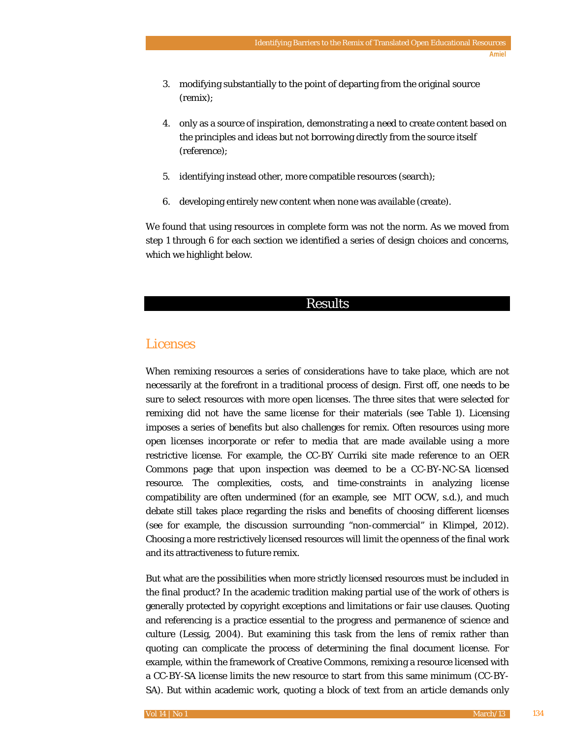- 3. modifying substantially to the point of departing from the original source (remix);
- 4. only as a source of inspiration, demonstrating a need to create content based on the principles and ideas but not borrowing directly from the source itself (reference);
- 5. identifying instead other, more compatible resources (search);
- 6. developing entirely new content when none was available (create).

We found that using resources in complete form was not the norm. As we moved from step 1 through 6 for each section we identified a series of design choices and concerns, which we highlight below.

#### Results

## Licenses

When remixing resources a series of considerations have to take place, which are not necessarily at the forefront in a traditional process of design. First off, one needs to be sure to select resources with more open licenses. The three sites that were selected for remixing did not have the same license for their materials (see Table 1). Licensing imposes a series of benefits but also challenges for remix. Often resources using more open licenses incorporate or refer to media that are made available using a more restrictive license. For example, the CC-BY Curriki site made reference to an OER Commons page that upon inspection was deemed to be a CC-BY-NC-SA licensed resource. The complexities, costs, and time-constraints in analyzing license compatibility are often undermined (for an example, see MIT OCW, s.d.), and much debate still takes place regarding the risks and benefits of choosing different licenses (see for example, the discussion surrounding "non-commercial" in Klimpel, 2012). Choosing a more restrictively licensed resources will limit the openness of the final work and its attractiveness to future remix.

But what are the possibilities when more strictly licensed resources must be included in the final product? In the academic tradition making partial use of the work of others is generally protected by copyright exceptions and limitations or *fair use* clauses. Quoting and referencing is a practice essential to the progress and permanence of science and culture (Lessig, 2004). But examining this task from the lens of *remix* rather than *quoting* can complicate the process of determining the final document license. For example, within the framework of Creative Commons, remixing a resource licensed with a CC-BY-SA license limits the new resource to start from this same minimum (CC-BY-SA). But within academic work, quoting a block of text from an article demands only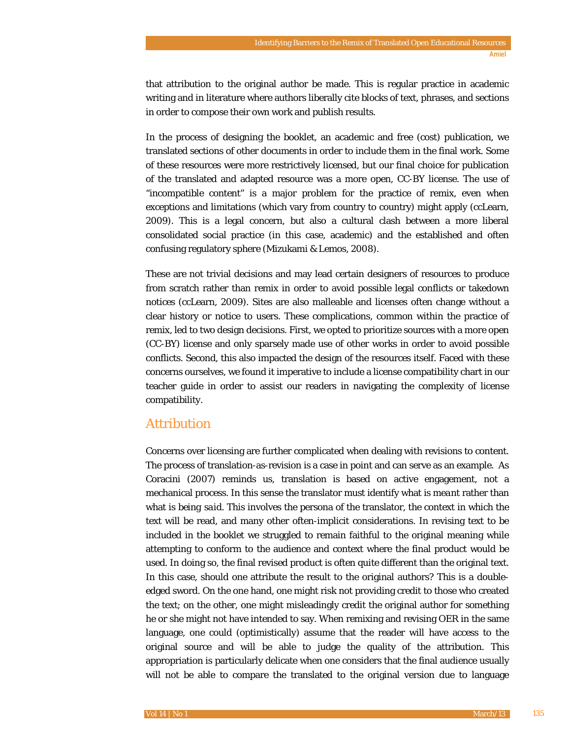that attribution to the original author be made. This is regular practice in academic writing and in literature where authors liberally cite blocks of text, phrases, and sections in order to compose their own work and publish results.

In the process of designing the booklet, an academic and free (cost) publication, we translated sections of other documents in order to include them in the final work. Some of these resources were more restrictively licensed, but our final choice for publication of the translated and adapted resource was a more open, CC-BY license. The use of "incompatible content" is a major problem for the practice of remix, even when exceptions and limitations (which vary from country to country) might apply (ccLearn, 2009). This is a legal concern, but also a cultural clash between a more liberal consolidated social practice (in this case, academic) and the established and often confusing regulatory sphere (Mizukami & Lemos, 2008).

These are not trivial decisions and may lead certain designers of resources to produce from scratch rather than remix in order to avoid possible legal conflicts or takedown notices (ccLearn, 2009). Sites are also malleable and licenses often change without a clear history or notice to users. These complications, common within the practice of remix, led to two design decisions. First, we opted to prioritize sources with a more open (CC-BY) license and only sparsely made use of other works in order to avoid possible conflicts. Second, this also impacted the design of the resources itself. Faced with these concerns ourselves, we found it imperative to include a license compatibility chart in our teacher guide in order to assist our readers in navigating the complexity of license compatibility.

## Attribution

Concerns over licensing are further complicated when dealing with revisions to content. The process of translation-as-revision is a case in point and can serve as an example. As Coracini (2007) reminds us, translation is based on active engagement, not a mechanical process. In this sense the translator must identify what is *meant* rather than what is *being said*. This involves the persona of the translator, the context in which the text will be read, and many other often-implicit considerations. In revising text to be included in the booklet we struggled to remain faithful to the original meaning while attempting to conform to the audience and context where the final product would be used. In doing so, the final revised product is often quite different than the original text. In this case, should one attribute the result to the original authors? This is a doubleedged sword. On the one hand, one might risk not providing credit to those who created the text; on the other, one might misleadingly credit the original author for something he or she might not have intended to say. When remixing and revising OER in the same language, one could (optimistically) assume that the reader will have access to the original source and will be able to judge the quality of the attribution. This appropriation is particularly delicate when one considers that the final audience usually will not be able to compare the translated to the original version due to language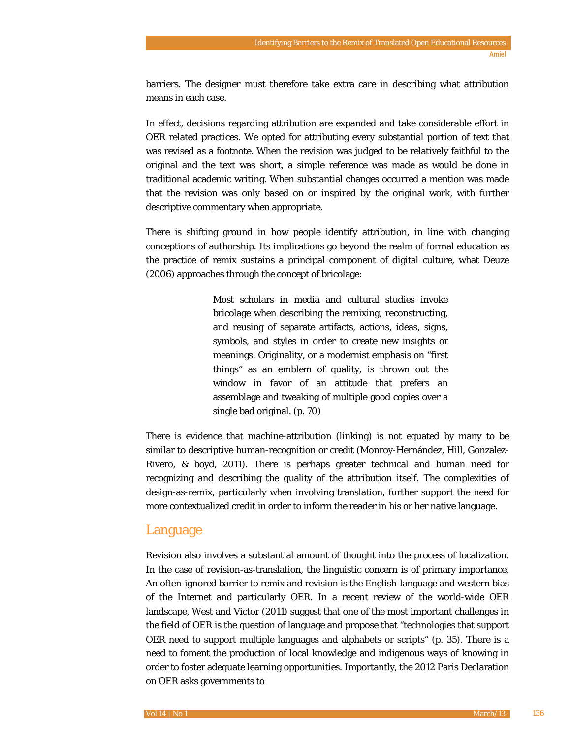barriers. The designer must therefore take extra care in describing what attribution means in each case.

In effect, decisions regarding attribution are expanded and take considerable effort in OER related practices. We opted for attributing every substantial portion of text that was revised as a footnote. When the revision was judged to be relatively faithful to the original and the text was short, a simple reference was made as would be done in traditional academic writing. When substantial changes occurred a mention was made that the revision was only *based on* or *inspired by* the original work, with further descriptive commentary when appropriate.

There is shifting ground in how people identify attribution, in line with changing conceptions of authorship. Its implications go beyond the realm of formal education as the practice of remix sustains a principal component of digital culture, what Deuze (2006) approaches through the concept of bricolage:

> Most scholars in media and cultural studies invoke bricolage when describing the remixing, reconstructing, and reusing of separate artifacts, actions, ideas, signs, symbols, and styles in order to create new insights or meanings. Originality, or a modernist emphasis on "first things" as an emblem of quality, is thrown out the window in favor of an attitude that prefers an assemblage and tweaking of multiple good copies over a single bad original. (p. 70)

There is evidence that machine-attribution (linking) is not equated by many to be similar to descriptive human-recognition or credit (Monroy-Hernández, Hill, Gonzalez-Rivero, & boyd, 2011). There is perhaps greater technical and human need for recognizing and describing the quality of the attribution itself. The complexities of design-as-remix, particularly when involving translation, further support the need for more contextualized credit in order to inform the reader in his or her native language.

## Language

Revision also involves a substantial amount of thought into the process of localization. In the case of revision-as-translation, the linguistic concern is of primary importance. An often-ignored barrier to remix and revision is the English-language and western bias of the Internet and particularly OER. In a recent review of the world-wide OER landscape, West and Victor (2011) suggest that one of the most important challenges in the field of OER is the question of language and propose that "technologies that support OER need to support multiple languages and alphabets or scripts" (p. 35). There is a need to foment the production of local knowledge and indigenous ways of knowing in order to foster adequate learning opportunities. Importantly, the 2012 Paris Declaration on OER asks governments to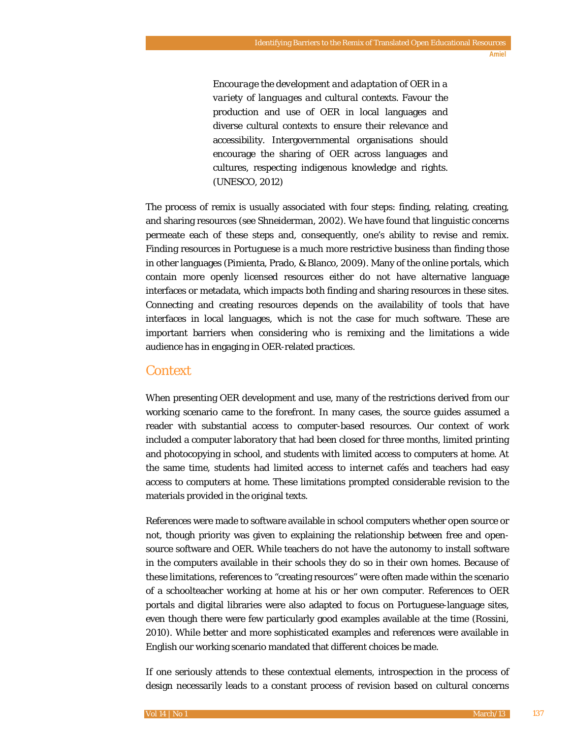*Encourage the development and adaptation of OER in a variety of languages and cultural contexts.* Favour the production and use of OER in local languages and diverse cultural contexts to ensure their relevance and accessibility. Intergovernmental organisations should encourage the sharing of OER across languages and cultures, respecting indigenous knowledge and rights. (UNESCO, 2012)

The process of remix is usually associated with four steps: finding, relating, creating, and sharing resources (see Shneiderman, 2002). We have found that linguistic concerns permeate each of these steps and, consequently, one's ability to revise and remix. Finding resources in Portuguese is a much more restrictive business than finding those in other languages (Pimienta, Prado, & Blanco, 2009). Many of the online portals, which contain more openly licensed resources either do not have alternative language interfaces or metadata, which impacts both finding and sharing resources in these sites. Connecting and creating resources depends on the availability of tools that have interfaces in local languages, which is not the case for much software. These are important barriers when considering who is remixing and the limitations a wide audience has in engaging in OER-related practices.

## **Context**

When presenting OER development and use, many of the restrictions derived from our working scenario came to the forefront. In many cases, the source guides assumed a reader with substantial access to computer-based resources. Our context of work included a computer laboratory that had been closed for three months, limited printing and photocopying in school, and students with limited access to computers at home. At the same time, students had limited access to *internet cafés* and teachers had easy access to computers at home. These limitations prompted considerable revision to the materials provided in the original texts.

References were made to software available in school computers whether open source or not, though priority was given to explaining the relationship between free and opensource software and OER. While teachers do not have the autonomy to install software in the computers available in their schools they do so in their own homes. Because of these limitations, references to "creating resources" were often made within the scenario of a schoolteacher working at home at his or her own computer. References to OER portals and digital libraries were also adapted to focus on Portuguese-language sites, even though there were few particularly good examples available at the time (Rossini, 2010). While better and more sophisticated examples and references were available in English our working scenario mandated that different choices be made.

If one seriously attends to these contextual elements, introspection in the process of design necessarily leads to a constant process of revision based on cultural concerns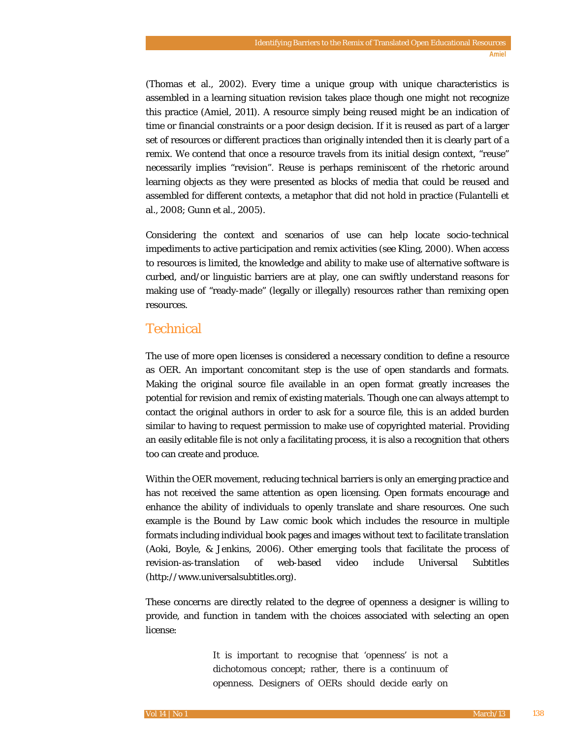(Thomas et al., 2002). Every time a unique group with unique characteristics is assembled in a learning situation revision takes place though one might not recognize this practice (Amiel, 2011). A resource simply being reused might be an indication of time or financial constraints or a poor design decision. If it is reused as part of a larger set of resources or different *practices* than originally intended then it is clearly part of a remix. We contend that once a resource travels from its initial design context, "reuse" necessarily implies "revision". Reuse is perhaps reminiscent of the rhetoric around learning objects as they were presented as blocks of media that could be reused and assembled for different contexts, a metaphor that did not hold in practice (Fulantelli et al., 2008; Gunn et al., 2005).

Considering the context and scenarios of use can help locate socio-technical impediments to active participation and remix activities (see Kling, 2000). When access to resources is limited, the knowledge and ability to make use of alternative software is curbed, and/or linguistic barriers are at play, one can swiftly understand reasons for making use of "ready-made" (legally or illegally) resources rather than remixing open resources.

## **Technical**

The use of more open licenses is considered a necessary condition to define a resource as OER. An important concomitant step is the use of open standards and formats. Making the original source file available in an open format greatly increases the potential for revision and remix of existing materials. Though one can always attempt to contact the original authors in order to ask for a source file, this is an added burden similar to having to request permission to make use of copyrighted material. Providing an easily editable file is not only a facilitating process, it is also a recognition that others too can create and produce.

Within the OER movement, reducing technical barriers is only an emerging practice and has not received the same attention as open licensing. Open formats encourage and enhance the ability of individuals to openly translate and share resources. One such example is the *Bound by Law* comic book which includes the resource in multiple formats including individual book pages and images without text to facilitate translation (Aoki, Boyle, & Jenkins, 2006). Other emerging tools that facilitate the process of revision-as-translation of web-based video include Universal Subtitles (http://www.universalsubtitles.org).

These concerns are directly related to the degree of openness a designer is willing to provide, and function in tandem with the choices associated with selecting an open license:

> It is important to recognise that 'openness' is not a dichotomous concept; rather, there is a continuum of openness. Designers of OERs should decide early on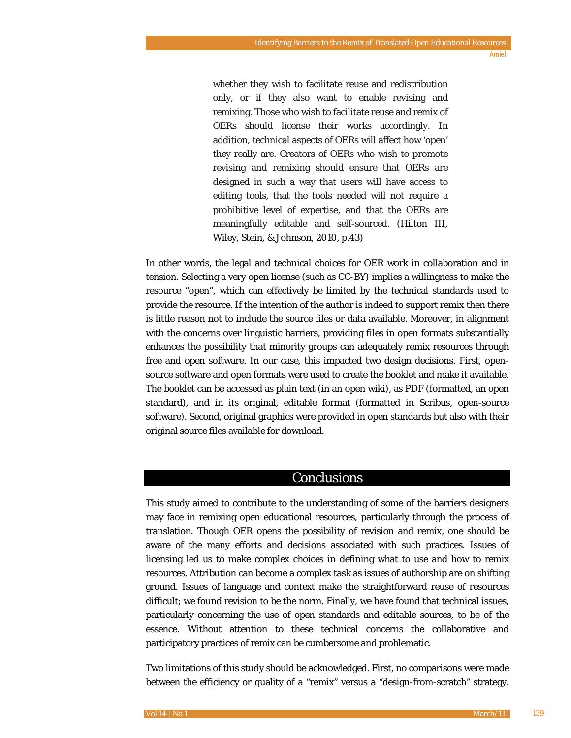whether they wish to facilitate reuse and redistribution only, or if they also want to enable revising and remixing. Those who wish to facilitate reuse and remix of OERs should license their works accordingly. In addition, technical aspects of OERs will affect how 'open' they really are. Creators of OERs who wish to promote revising and remixing should ensure that OERs are designed in such a way that users will have access to editing tools, that the tools needed will not require a prohibitive level of expertise, and that the OERs are meaningfully editable and self-sourced. (Hilton III, Wiley, Stein, & Johnson, 2010, p.43)

In other words, the legal and technical choices for OER work in collaboration and in tension. Selecting a very open license (such as CC-BY) implies a willingness to make the resource "open", which can effectively be limited by the technical standards used to provide the resource. If the intention of the author is indeed to support remix then there is little reason not to include the source files or data available. Moreover, in alignment with the concerns over linguistic barriers, providing files in open formats substantially enhances the possibility that minority groups can adequately remix resources through free and open software. In our case, this impacted two design decisions. First, opensource software and open formats were used to create the booklet and make it available. The booklet can be accessed as plain text (in an open wiki), as PDF (formatted, an open standard), and in its original, editable format (formatted in Scribus, open-source software). Second, original graphics were provided in open standards but also with their original source files available for download.

#### Conclusions

This study aimed to contribute to the understanding of some of the barriers designers may face in remixing open educational resources, particularly through the process of translation. Though OER opens the possibility of revision and remix, one should be aware of the many efforts and decisions associated with such practices. Issues of licensing led us to make complex choices in defining what to use and how to remix resources. Attribution can become a complex task as issues of authorship are on shifting ground. Issues of language and context make the straightforward reuse of resources difficult; we found revision to be the norm. Finally, we have found that technical issues, particularly concerning the use of open standards and editable sources, to be of the essence. Without attention to these technical concerns the collaborative and participatory practices of remix can be cumbersome and problematic.

Two limitations of this study should be acknowledged. First, no comparisons were made between the efficiency or quality of a "remix" versus a "design-from-scratch" strategy.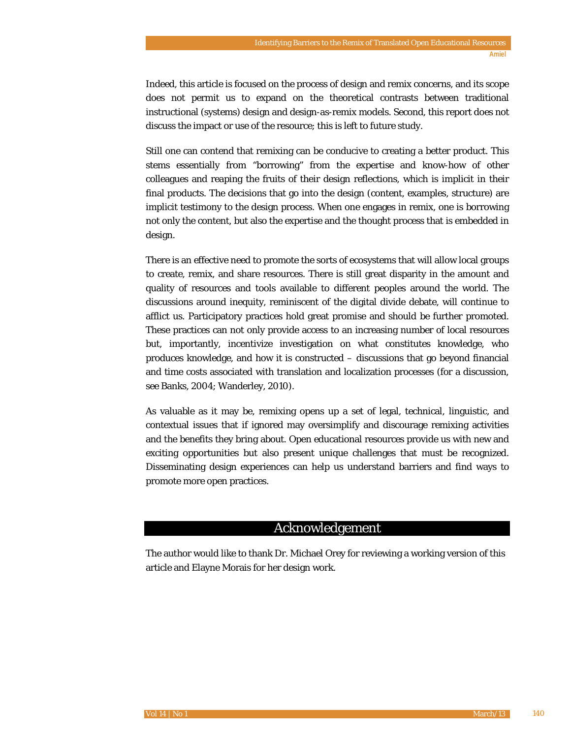Indeed, this article is focused on the process of design and remix concerns, and its scope does not permit us to expand on the theoretical contrasts between traditional instructional (systems) design and design-as-remix models. Second, this report does not discuss the impact or use of the resource; this is left to future study.

Still one can contend that remixing can be conducive to creating a better product. This stems essentially from "borrowing" from the expertise and know-how of other colleagues and reaping the fruits of their design reflections, which is implicit in their final products. The decisions that go into the design (content, examples, structure) are implicit testimony to the design process. When one engages in remix, one is borrowing not only the content, but also the expertise and the thought process that is embedded in design.

There is an effective need to promote the sorts of ecosystems that will allow local groups to create, remix, and share resources. There is still great disparity in the amount and quality of resources and tools available to different peoples around the world. The discussions around inequity, reminiscent of the digital divide debate, will continue to afflict us. Participatory practices hold great promise and should be further promoted. These practices can not only provide access to an increasing number of local resources but, importantly, incentivize investigation on what constitutes knowledge, who produces knowledge, and how it is constructed – discussions that go beyond financial and time costs associated with translation and localization processes (for a discussion, see Banks, 2004; Wanderley, 2010).

As valuable as it may be, remixing opens up a set of legal, technical, linguistic, and contextual issues that if ignored may oversimplify and discourage remixing activities and the benefits they bring about. Open educational resources provide us with new and exciting opportunities but also present unique challenges that must be recognized. Disseminating design experiences can help us understand barriers and find ways to promote more open practices.

#### Acknowledgement

The author would like to thank Dr. Michael Orey for reviewing a working version of this article and Elayne Morais for her design work.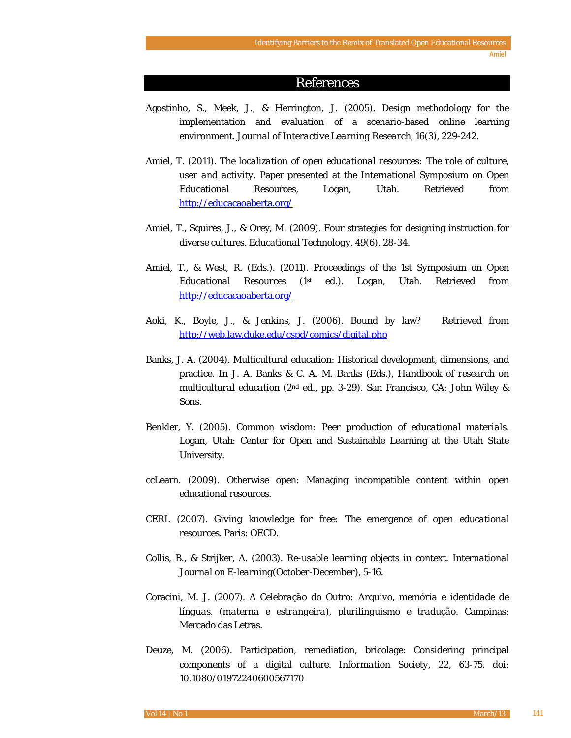#### References

- Agostinho, S., Meek, J., & Herrington, J. (2005). Design methodology for the implementation and evaluation of a scenario-based online learning environment. *Journal of Interactive Learning Research, 16*(3), 229-242.
- Amiel, T. (2011). *The localization of open educational resources: The role of culture, user and activity*. Paper presented at the International Symposium on Open Educational Resources, Logan, Utah. Retrieved from <http://educacaoaberta.org/>
- Amiel, T., Squires, J., & Orey, M. (2009). Four strategies for designing instruction for diverse cultures. *Educational Technology, 49*(6), 28-34.
- Amiel, T., & West, R. (Eds.). (2011). *Proceedings of the 1st Symposium on Open Educational Resources* (1st ed.). Logan, Utah. Retrieved from <http://educacaoaberta.org/>
- Aoki, K., Boyle, J., & Jenkins, J. (2006). Bound by law? Retrieved from <http://web.law.duke.edu/cspd/comics/digital.php>
- Banks, J. A. (2004). Multicultural education: Historical development, dimensions, and practice. In J. A. Banks & C. A. M. Banks (Eds.), *Handbook of research on multicultural education* (2nd ed., pp. 3-29). San Francisco, CA: John Wiley & Sons.
- Benkler, Y. (2005). *Common wisdom: Peer production of educational materials*. Logan, Utah: Center for Open and Sustainable Learning at the Utah State University.
- ccLearn. (2009). Otherwise open: Managing incompatible content within open educational resources.
- CERI. (2007). *Giving knowledge for free: The emergence of open educational resource*s. Paris: OECD.
- Collis, B., & Strijker, A. (2003). Re-usable learning objects in context. *International Journal on E-learning(October-December)*, 5-16.
- Coracini, M. J. (2007). *A Celebração do Outro: Arquivo, memória e identidade de línguas, (materna e estrangeira), plurilinguismo e tradução*. Campinas: Mercado das Letras.
- Deuze, M. (2006). Participation, remediation, bricolage: Considering principal components of a digital culture. *Information Society, 22*, 63-75. doi: 10.1080/01972240600567170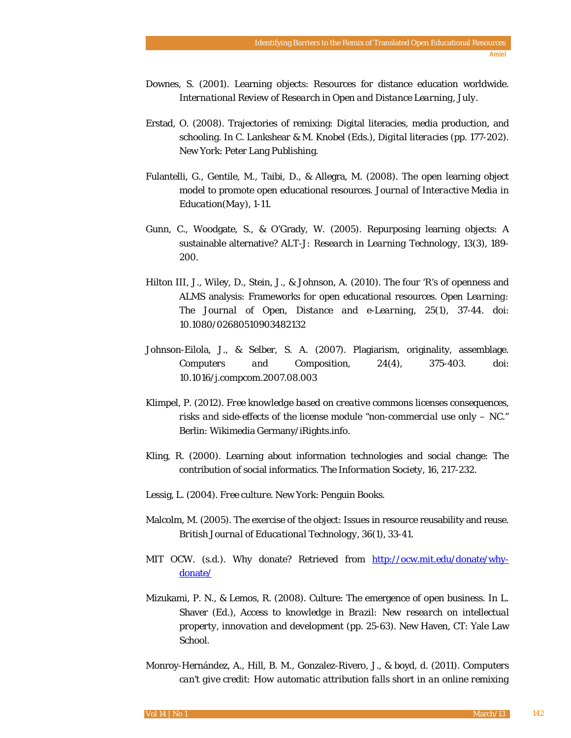- Downes, S. (2001). Learning objects: Resources for distance education worldwide. *International Review of Research in Open and Distance Learning, July*.
- Erstad, O. (2008). Trajectories of remixing: Digital literacies, media production, and schooling. In C. Lankshear & M. Knobel (Eds.), *Digital literacies* (pp. 177-202). New York: Peter Lang Publishing.
- Fulantelli, G., Gentile, M., Taibi, D., & Allegra, M. (2008). The open learning object model to promote open educational resources. *Journal of Interactive Media in Education(May)*, 1-11.
- Gunn, C., Woodgate, S., & O'Grady, W. (2005). Repurposing learning objects: A sustainable alternative? *ALT-J: Research in Learning Technology, 13*(3), 189- 200.
- Hilton III, J., Wiley, D., Stein, J., & Johnson, A. (2010). The four 'R's of openness and ALMS analysis: Frameworks for open educational resources. *Open Learning: The Journal of Open, Distance and e-Learning, 25*(1), 37-44. doi: 10.1080/02680510903482132
- Johnson-Eilola, J., & Selber, S. A. (2007). Plagiarism, originality, assemblage. *Computers and Composition, 24*(4), 375-403. doi: 10.1016/j.compcom.2007.08.003
- Klimpel, P. (2012). F*ree knowledge based on creative commons licenses consequences, risks and side-effects of the license module "non-commercial use only – NC*." Berlin: Wikimedia Germany/iRights.info.
- Kling, R. (2000). Learning about information technologies and social change: The contribution of social informatics. *The Information Society, 16*, 217-232.
- Lessig, L. (2004). *Free culture*. New York: Penguin Books.
- Malcolm, M. (2005). The exercise of the object: Issues in resource reusability and reuse. *British Journal of Educational Technology, 36*(1), 33-41.
- MIT OCW. (s.d.). Why donate? Retrieved from [http://ocw.mit.edu/donate/why](http://ocw.mit.edu/donate/why-donate/)[donate/](http://ocw.mit.edu/donate/why-donate/)
- Mizukami, P. N., & Lemos, R. (2008). Culture: The emergence of open business. In L. Shaver (Ed.), *Access to knowledge in Brazil: New research on intellectual property, innovation and development* (pp. 25-63). New Haven, CT: Yale Law School.
- Monroy-Hernández, A., Hill, B. M., Gonzalez-Rivero, J., & boyd, d. (2011). *Computers can't give credit: How automatic attribution falls short in an online remixing*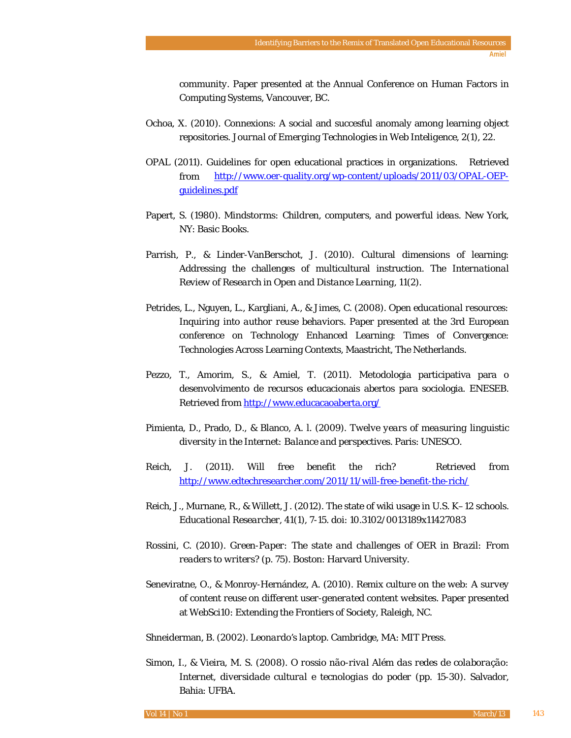*community*. Paper presented at the Annual Conference on Human Factors in Computing Systems, Vancouver, BC.

- Ochoa, X. (2010). Connexions: A social and succesful anomaly among learning object repositories. *Journal of Emerging Technologies in Web Inteligence, 2*(1), 22.
- OPAL (2011). Guidelines for open educational practices in organizations. Retrieved from [http://www.oer-quality.org/wp-content/uploads/2011/03/OPAL-OEP](http://www.oer-quality.org/wp-content/uploads/2011/03/OPAL-OEP-guidelines.pdf)[guidelines.pdf](http://www.oer-quality.org/wp-content/uploads/2011/03/OPAL-OEP-guidelines.pdf)
- Papert, S. (1980). *Mindstorms: Children, computers, and powerful ideas*. New York, NY: Basic Books.
- Parrish, P., & Linder-VanBerschot, J. (2010). Cultural dimensions of learning: Addressing the challenges of multicultural instruction. *The International Review of Research in Open and Distance Learning, 11*(2).
- Petrides, L., Nguyen, L., Kargliani, A., & Jimes, C. (2008). *Open educational resources: Inquiring into author reuse behaviors*. Paper presented at the 3rd European conference on Technology Enhanced Learning: Times of Convergence: Technologies Across Learning Contexts, Maastricht, The Netherlands.
- Pezzo, T., Amorim, S., & Amiel, T. (2011). Metodologia participativa para o desenvolvimento de recursos educacionais abertos para sociologia. *ENESEB.* Retrieved from<http://www.educacaoaberta.org/>
- Pimienta, D., Prado, D., & Blanco, A. l. (2009). *Twelve years of measuring linguistic diversity in the Internet: Balance and perspectives*. Paris: UNESCO.
- Reich, J. (2011). Will free benefit the rich? Retrieved from <http://www.edtechresearcher.com/2011/11/will-free-benefit-the-rich/>
- Reich, J., Murnane, R., & Willett, J. (2012). The state of wiki usage in U.S. K–12 schools. *Educational Researcher, 41*(1), 7-15. doi: 10.3102/0013189x11427083
- Rossini, C. (2010). *Green-Paper: The state and challenges of OER in Brazil: From readers to writers?* (p. 75). Boston: Harvard University.
- Seneviratne, O., & Monroy-Hernández, A. (2010). *Remix culture on the web: A survey of content reuse on different user-generated content websites.* Paper presented at WebSci10: Extending the Frontiers of Society, Raleigh, NC.
- Shneiderman, B. (2002). *Leonardo's laptop*. Cambridge, MA: MIT Press.
- Simon, I., & Vieira, M. S. (2008). *O rossio não-rival Além das redes de colaboração: Internet, diversidade cultural e tecnologias do poder* (pp. 15-30). Salvador, Bahia: UFBA.